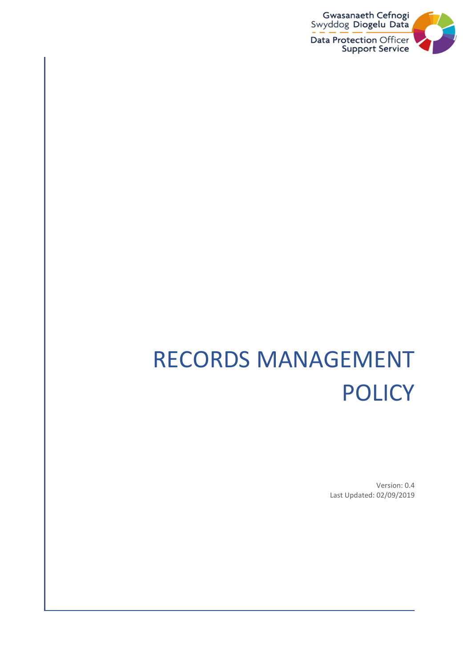

# RECORDS MANAGEMENT POLICY

Version: 0.4 Last Updated: 02/09/2019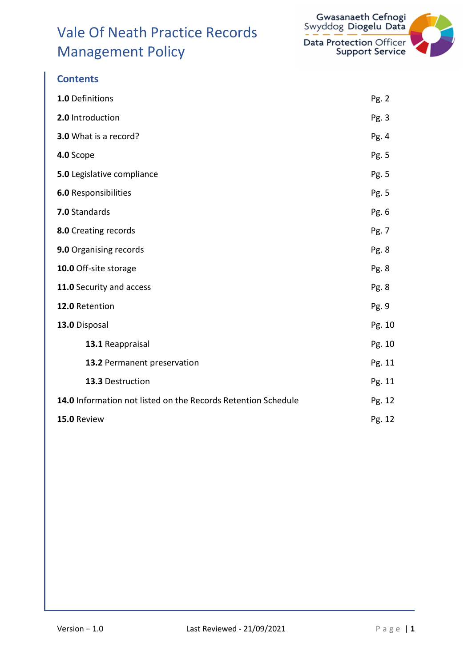

| 1.0 Definitions                                               | Pg. 2  |
|---------------------------------------------------------------|--------|
| 2.0 Introduction                                              | Pg.3   |
| 3.0 What is a record?                                         | Pg. 4  |
| 4.0 Scope                                                     | Pg. 5  |
| 5.0 Legislative compliance                                    | Pg. 5  |
| <b>6.0 Responsibilities</b>                                   | Pg. 5  |
| 7.0 Standards                                                 | Pg. 6  |
| 8.0 Creating records                                          | Pg. 7  |
| 9.0 Organising records                                        | Pg. 8  |
| 10.0 Off-site storage                                         | Pg. 8  |
| 11.0 Security and access                                      | Pg. 8  |
| 12.0 Retention                                                | Pg. 9  |
| 13.0 Disposal                                                 | Pg. 10 |
| 13.1 Reappraisal                                              | Pg. 10 |
| 13.2 Permanent preservation                                   | Pg. 11 |
| 13.3 Destruction                                              | Pg. 11 |
| 14.0 Information not listed on the Records Retention Schedule | Pg. 12 |
| 15.0 Review                                                   | Pg. 12 |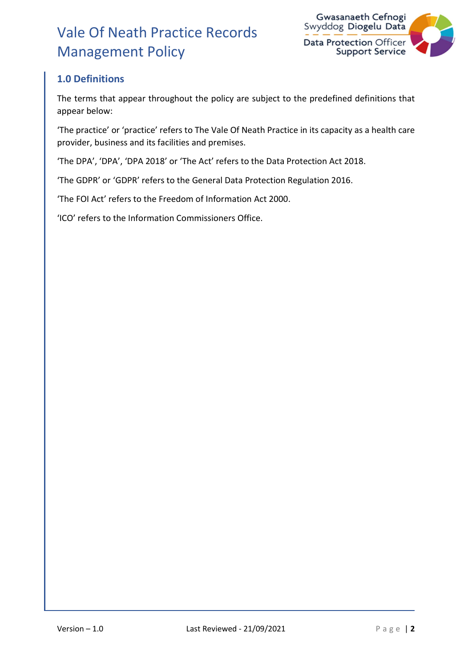

### 1.0 Definitions

The terms that appear throughout the policy are subject to the predefined definitions that appear below:

'The practice' or 'practice' refers to The Vale Of Neath Practice in its capacity as a health care provider, business and its facilities and premises.

'The DPA', 'DPA', 'DPA 2018' or 'The Act' refers to the Data Protection Act 2018.

'The GDPR' or 'GDPR' refers to the General Data Protection Regulation 2016.

'The FOI Act' refers to the Freedom of Information Act 2000.

'ICO' refers to the Information Commissioners Office.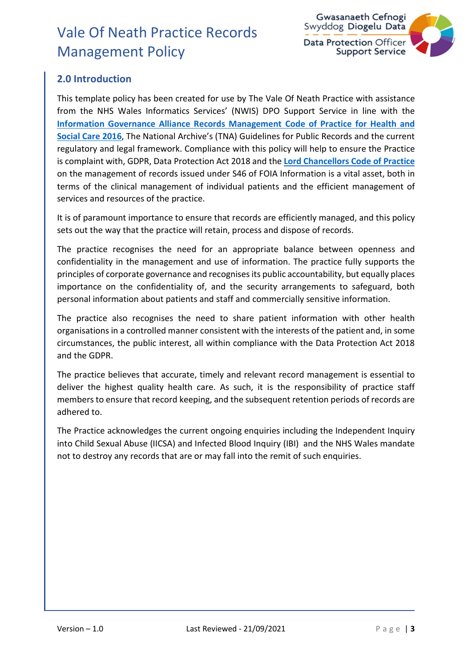

### 2.0 Introduction

This template policy has been created for use by The Vale Of Neath Practice with assistance from the NHS Wales Informatics Services' (NWIS) DPO Support Service in line with the Information Governance Alliance Records Management Code of Practice for Health and Social Care 2016, The National Archive's (TNA) Guidelines for Public Records and the current regulatory and legal framework. Compliance with this policy will help to ensure the Practice is complaint with, GDPR, Data Protection Act 2018 and the Lord Chancellors Code of Practice on the management of records issued under S46 of FOIA Information is a vital asset, both in terms of the clinical management of individual patients and the efficient management of services and resources of the practice.

It is of paramount importance to ensure that records are efficiently managed, and this policy sets out the way that the practice will retain, process and dispose of records.

The practice recognises the need for an appropriate balance between openness and confidentiality in the management and use of information. The practice fully supports the principles of corporate governance and recognises its public accountability, but equally places importance on the confidentiality of, and the security arrangements to safeguard, both personal information about patients and staff and commercially sensitive information.

The practice also recognises the need to share patient information with other health organisations in a controlled manner consistent with the interests of the patient and, in some circumstances, the public interest, all within compliance with the Data Protection Act 2018 and the GDPR.

The practice believes that accurate, timely and relevant record management is essential to deliver the highest quality health care. As such, it is the responsibility of practice staff members to ensure that record keeping, and the subsequent retention periods of records are adhered to.

The Practice acknowledges the current ongoing enquiries including the Independent Inquiry into Child Sexual Abuse (IICSA) and Infected Blood Inquiry (IBI) and the NHS Wales mandate not to destroy any records that are or may fall into the remit of such enquiries.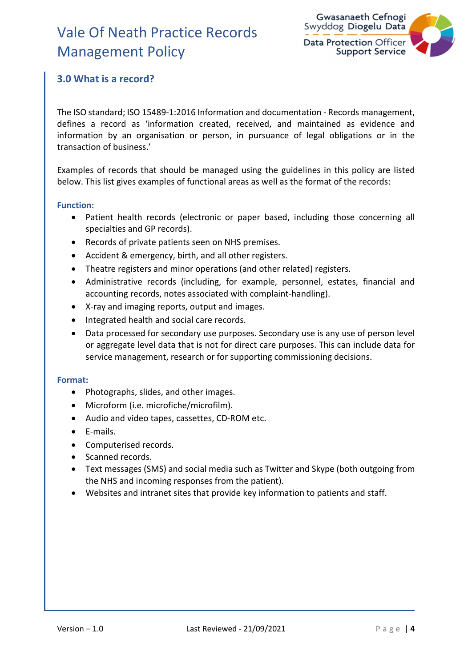

### 3.0 What is a record?

The ISO standard; ISO 15489-1:2016 Information and documentation - Records management, defines a record as 'information created, received, and maintained as evidence and information by an organisation or person, in pursuance of legal obligations or in the transaction of business.'

Examples of records that should be managed using the guidelines in this policy are listed below. This list gives examples of functional areas as well as the format of the records:

#### Function:

- Patient health records (electronic or paper based, including those concerning all specialties and GP records).
- Records of private patients seen on NHS premises.
- Accident & emergency, birth, and all other registers.
- Theatre registers and minor operations (and other related) registers.
- Administrative records (including, for example, personnel, estates, financial and accounting records, notes associated with complaint-handling).
- X-ray and imaging reports, output and images.
- Integrated health and social care records.
- Data processed for secondary use purposes. Secondary use is any use of person level or aggregate level data that is not for direct care purposes. This can include data for service management, research or for supporting commissioning decisions.

#### Format:

- Photographs, slides, and other images.
- Microform (i.e. microfiche/microfilm).
- Audio and video tapes, cassettes, CD-ROM etc.
- E-mails.
- Computerised records.
- Scanned records.
- Text messages (SMS) and social media such as Twitter and Skype (both outgoing from the NHS and incoming responses from the patient).
- Websites and intranet sites that provide key information to patients and staff.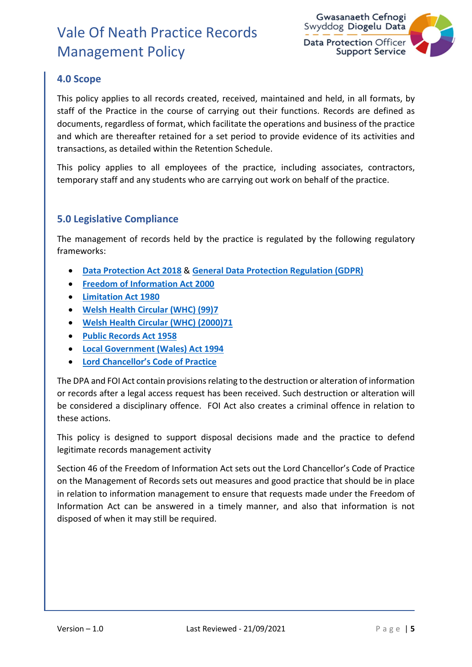

### 4.0 Scope

This policy applies to all records created, received, maintained and held, in all formats, by staff of the Practice in the course of carrying out their functions. Records are defined as documents, regardless of format, which facilitate the operations and business of the practice and which are thereafter retained for a set period to provide evidence of its activities and transactions, as detailed within the Retention Schedule.

This policy applies to all employees of the practice, including associates, contractors, temporary staff and any students who are carrying out work on behalf of the practice.

#### 5.0 Legislative Compliance

The management of records held by the practice is regulated by the following regulatory frameworks:

- Data Protection Act 2018 & General Data Protection Regulation (GDPR)
- Freedom of Information Act 2000
- Limitation Act 1980
- Welsh Health Circular (WHC) (99)7
- Welsh Health Circular (WHC) (2000)71
- Public Records Act 1958
- Local Government (Wales) Act 1994
- Lord Chancellor's Code of Practice

The DPA and FOI Act contain provisions relating to the destruction or alteration of information or records after a legal access request has been received. Such destruction or alteration will be considered a disciplinary offence. FOI Act also creates a criminal offence in relation to these actions.

This policy is designed to support disposal decisions made and the practice to defend legitimate records management activity

Section 46 of the Freedom of Information Act sets out the Lord Chancellor's Code of Practice on the Management of Records sets out measures and good practice that should be in place in relation to information management to ensure that requests made under the Freedom of Information Act can be answered in a timely manner, and also that information is not disposed of when it may still be required.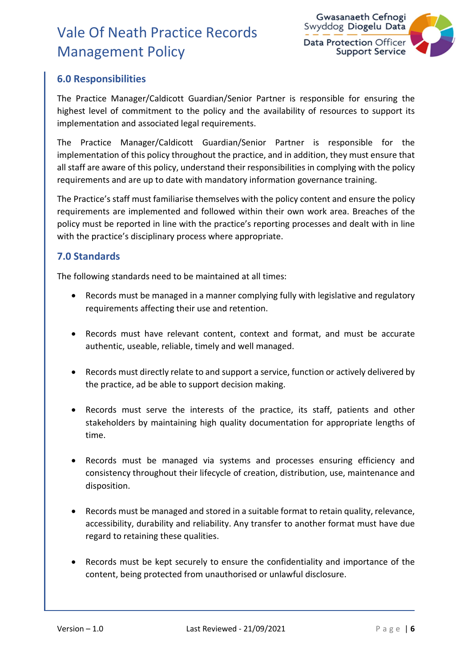

### 6.0 Responsibilities

The Practice Manager/Caldicott Guardian/Senior Partner is responsible for ensuring the highest level of commitment to the policy and the availability of resources to support its implementation and associated legal requirements.

The Practice Manager/Caldicott Guardian/Senior Partner is responsible for the implementation of this policy throughout the practice, and in addition, they must ensure that all staff are aware of this policy, understand their responsibilities in complying with the policy requirements and are up to date with mandatory information governance training.

The Practice's staff must familiarise themselves with the policy content and ensure the policy requirements are implemented and followed within their own work area. Breaches of the policy must be reported in line with the practice's reporting processes and dealt with in line with the practice's disciplinary process where appropriate.

#### 7.0 Standards

The following standards need to be maintained at all times:

- Records must be managed in a manner complying fully with legislative and regulatory requirements affecting their use and retention.
- Records must have relevant content, context and format, and must be accurate authentic, useable, reliable, timely and well managed.
- Records must directly relate to and support a service, function or actively delivered by the practice, ad be able to support decision making.
- Records must serve the interests of the practice, its staff, patients and other stakeholders by maintaining high quality documentation for appropriate lengths of time.
- Records must be managed via systems and processes ensuring efficiency and consistency throughout their lifecycle of creation, distribution, use, maintenance and disposition.
- Records must be managed and stored in a suitable format to retain quality, relevance, accessibility, durability and reliability. Any transfer to another format must have due regard to retaining these qualities.
- Records must be kept securely to ensure the confidentiality and importance of the content, being protected from unauthorised or unlawful disclosure.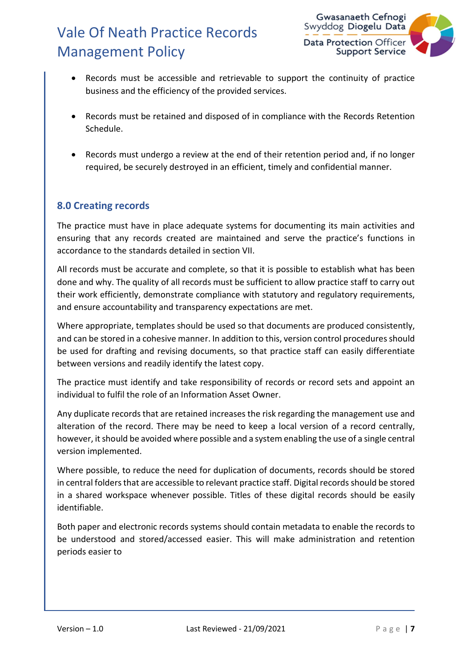

- Records must be accessible and retrievable to support the continuity of practice business and the efficiency of the provided services.
- Records must be retained and disposed of in compliance with the Records Retention Schedule.
- Records must undergo a review at the end of their retention period and, if no longer required, be securely destroyed in an efficient, timely and confidential manner.

#### 8.0 Creating records

The practice must have in place adequate systems for documenting its main activities and ensuring that any records created are maintained and serve the practice's functions in accordance to the standards detailed in section VII.

All records must be accurate and complete, so that it is possible to establish what has been done and why. The quality of all records must be sufficient to allow practice staff to carry out their work efficiently, demonstrate compliance with statutory and regulatory requirements, and ensure accountability and transparency expectations are met.

Where appropriate, templates should be used so that documents are produced consistently, and can be stored in a cohesive manner. In addition to this, version control procedures should be used for drafting and revising documents, so that practice staff can easily differentiate between versions and readily identify the latest copy.

The practice must identify and take responsibility of records or record sets and appoint an individual to fulfil the role of an Information Asset Owner.

Any duplicate records that are retained increases the risk regarding the management use and alteration of the record. There may be need to keep a local version of a record centrally, however, it should be avoided where possible and a system enabling the use of a single central version implemented.

Where possible, to reduce the need for duplication of documents, records should be stored in central folders that are accessible to relevant practice staff. Digital records should be stored in a shared workspace whenever possible. Titles of these digital records should be easily identifiable.

Both paper and electronic records systems should contain metadata to enable the records to be understood and stored/accessed easier. This will make administration and retention periods easier to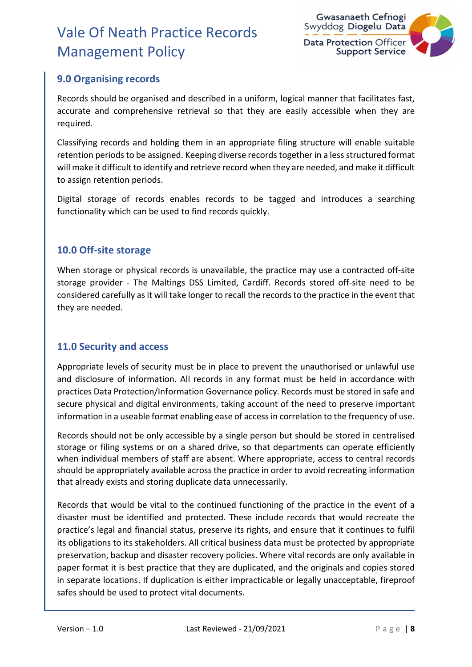

### 9.0 Organising records

Records should be organised and described in a uniform, logical manner that facilitates fast, accurate and comprehensive retrieval so that they are easily accessible when they are required.

Classifying records and holding them in an appropriate filing structure will enable suitable retention periods to be assigned. Keeping diverse records together in a less structured format will make it difficult to identify and retrieve record when they are needed, and make it difficult to assign retention periods.

Digital storage of records enables records to be tagged and introduces a searching functionality which can be used to find records quickly.

#### 10.0 Off-site storage

When storage or physical records is unavailable, the practice may use a contracted off-site storage provider - The Maltings DSS Limited, Cardiff. Records stored off-site need to be considered carefully as it will take longer to recall the records to the practice in the event that they are needed.

#### 11.0 Security and access

Appropriate levels of security must be in place to prevent the unauthorised or unlawful use and disclosure of information. All records in any format must be held in accordance with practices Data Protection/Information Governance policy. Records must be stored in safe and secure physical and digital environments, taking account of the need to preserve important information in a useable format enabling ease of access in correlation to the frequency of use.

Records should not be only accessible by a single person but should be stored in centralised storage or filing systems or on a shared drive, so that departments can operate efficiently when individual members of staff are absent. Where appropriate, access to central records should be appropriately available across the practice in order to avoid recreating information that already exists and storing duplicate data unnecessarily.

Records that would be vital to the continued functioning of the practice in the event of a disaster must be identified and protected. These include records that would recreate the practice's legal and financial status, preserve its rights, and ensure that it continues to fulfil its obligations to its stakeholders. All critical business data must be protected by appropriate preservation, backup and disaster recovery policies. Where vital records are only available in paper format it is best practice that they are duplicated, and the originals and copies stored in separate locations. If duplication is either impracticable or legally unacceptable, fireproof safes should be used to protect vital documents.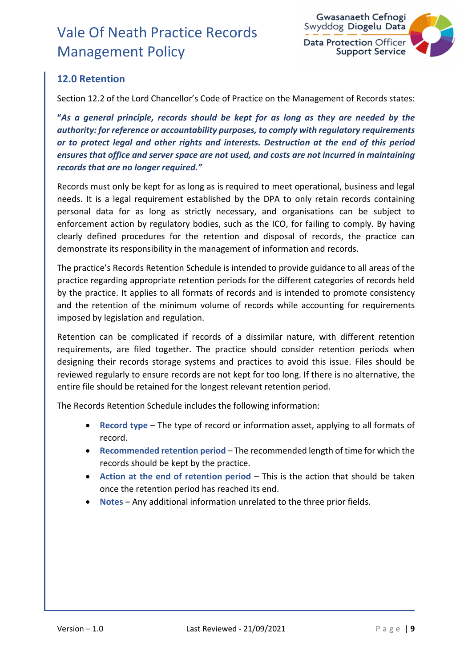

### 12.0 Retention

Section 12.2 of the Lord Chancellor's Code of Practice on the Management of Records states:

"As a general principle, records should be kept for as long as they are needed by the authority: for reference or accountability purposes, to comply with regulatory requirements or to protect legal and other rights and interests. Destruction at the end of this period ensures that office and server space are not used, and costs are not incurred in maintaining records that are no longer required."

Records must only be kept for as long as is required to meet operational, business and legal needs. It is a legal requirement established by the DPA to only retain records containing personal data for as long as strictly necessary, and organisations can be subject to enforcement action by regulatory bodies, such as the ICO, for failing to comply. By having clearly defined procedures for the retention and disposal of records, the practice can demonstrate its responsibility in the management of information and records.

The practice's Records Retention Schedule is intended to provide guidance to all areas of the practice regarding appropriate retention periods for the different categories of records held by the practice. It applies to all formats of records and is intended to promote consistency and the retention of the minimum volume of records while accounting for requirements imposed by legislation and regulation.

Retention can be complicated if records of a dissimilar nature, with different retention requirements, are filed together. The practice should consider retention periods when designing their records storage systems and practices to avoid this issue. Files should be reviewed regularly to ensure records are not kept for too long. If there is no alternative, the entire file should be retained for the longest relevant retention period.

The Records Retention Schedule includes the following information:

- Record type The type of record or information asset, applying to all formats of record.
- Recommended retention period The recommended length of time for which the records should be kept by the practice.
- Action at the end of retention period This is the action that should be taken once the retention period has reached its end.
- Notes Any additional information unrelated to the three prior fields.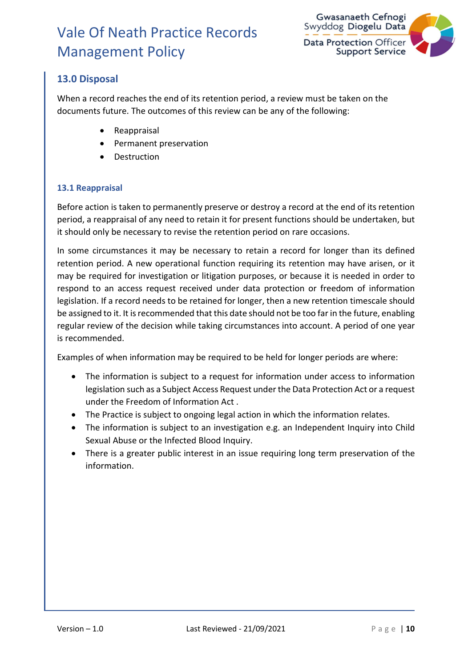

### 13.0 Disposal

When a record reaches the end of its retention period, a review must be taken on the documents future. The outcomes of this review can be any of the following:

- Reappraisal
- Permanent preservation
- Destruction

#### 13.1 Reappraisal

Before action is taken to permanently preserve or destroy a record at the end of its retention period, a reappraisal of any need to retain it for present functions should be undertaken, but it should only be necessary to revise the retention period on rare occasions.

In some circumstances it may be necessary to retain a record for longer than its defined retention period. A new operational function requiring its retention may have arisen, or it may be required for investigation or litigation purposes, or because it is needed in order to respond to an access request received under data protection or freedom of information legislation. If a record needs to be retained for longer, then a new retention timescale should be assigned to it. It is recommended that this date should not be too far in the future, enabling regular review of the decision while taking circumstances into account. A period of one year is recommended.

Examples of when information may be required to be held for longer periods are where:

- The information is subject to a request for information under access to information legislation such as a Subject Access Request under the Data Protection Act or a request under the Freedom of Information Act .
- The Practice is subject to ongoing legal action in which the information relates.
- The information is subject to an investigation e.g. an Independent Inquiry into Child Sexual Abuse or the Infected Blood Inquiry.
- There is a greater public interest in an issue requiring long term preservation of the information.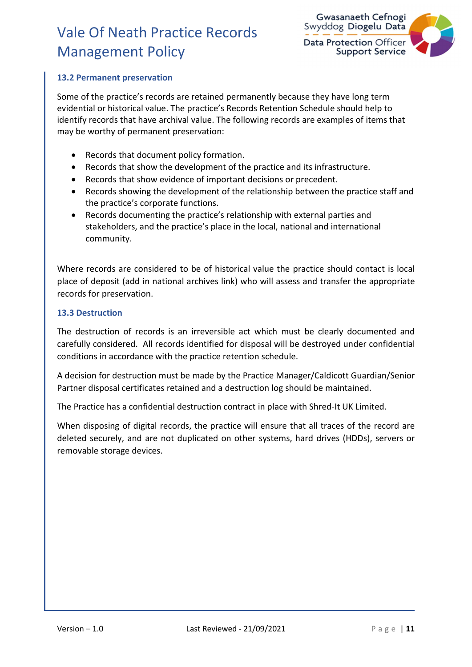

#### 13.2 Permanent preservation

Some of the practice's records are retained permanently because they have long term evidential or historical value. The practice's Records Retention Schedule should help to identify records that have archival value. The following records are examples of items that may be worthy of permanent preservation:

- Records that document policy formation.
- Records that show the development of the practice and its infrastructure.
- Records that show evidence of important decisions or precedent.
- Records showing the development of the relationship between the practice staff and the practice's corporate functions.
- Records documenting the practice's relationship with external parties and stakeholders, and the practice's place in the local, national and international community.

Where records are considered to be of historical value the practice should contact is local place of deposit (add in national archives link) who will assess and transfer the appropriate records for preservation.

#### 13.3 Destruction

The destruction of records is an irreversible act which must be clearly documented and carefully considered. All records identified for disposal will be destroyed under confidential conditions in accordance with the practice retention schedule.

A decision for destruction must be made by the Practice Manager/Caldicott Guardian/Senior Partner disposal certificates retained and a destruction log should be maintained.

The Practice has a confidential destruction contract in place with Shred-It UK Limited.

When disposing of digital records, the practice will ensure that all traces of the record are deleted securely, and are not duplicated on other systems, hard drives (HDDs), servers or removable storage devices.